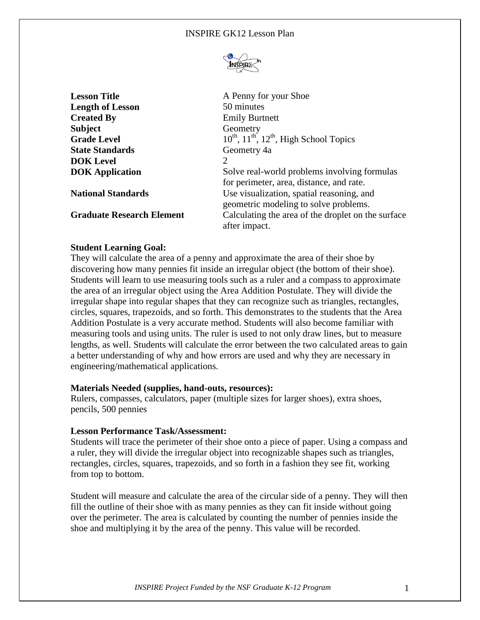

**Lesson Title** A Penny for your Shoe **Length of Lesson** 50 minutes **Created By** Emily Burtnett **Subject** Geometry **Grade Level**  $10^{th}$ ,  $11^{th}$ ,  $12^{th}$ , High School Topics **State Standards** Geometry 4a **DOK Level** 2 **DOK Application** Solve real-world problems involving formulas for perimeter, area, distance, and rate. **National Standards** Use visualization, spatial reasoning, and geometric modeling to solve problems. **Graduate Research Element** Calculating the area of the droplet on the surface after impact.

# **Student Learning Goal:**

They will calculate the area of a penny and approximate the area of their shoe by discovering how many pennies fit inside an irregular object (the bottom of their shoe). Students will learn to use measuring tools such as a ruler and a compass to approximate the area of an irregular object using the Area Addition Postulate. They will divide the irregular shape into regular shapes that they can recognize such as triangles, rectangles, circles, squares, trapezoids, and so forth. This demonstrates to the students that the Area Addition Postulate is a very accurate method. Students will also become familiar with measuring tools and using units. The ruler is used to not only draw lines, but to measure lengths, as well. Students will calculate the error between the two calculated areas to gain a better understanding of why and how errors are used and why they are necessary in engineering/mathematical applications.

# **Materials Needed (supplies, hand-outs, resources):**

Rulers, compasses, calculators, paper (multiple sizes for larger shoes), extra shoes, pencils, 500 pennies

# **Lesson Performance Task/Assessment:**

Students will trace the perimeter of their shoe onto a piece of paper. Using a compass and a ruler, they will divide the irregular object into recognizable shapes such as triangles, rectangles, circles, squares, trapezoids, and so forth in a fashion they see fit, working from top to bottom.

Student will measure and calculate the area of the circular side of a penny. They will then fill the outline of their shoe with as many pennies as they can fit inside without going over the perimeter. The area is calculated by counting the number of pennies inside the shoe and multiplying it by the area of the penny. This value will be recorded.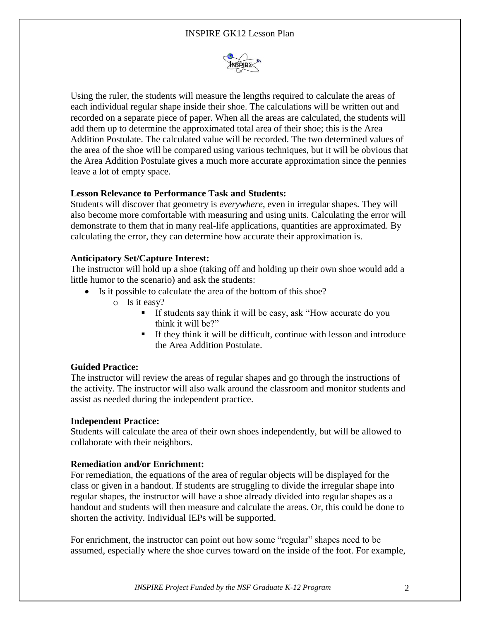# INSPIRE GK12 Lesson Plan



Using the ruler, the students will measure the lengths required to calculate the areas of each individual regular shape inside their shoe. The calculations will be written out and recorded on a separate piece of paper. When all the areas are calculated, the students will add them up to determine the approximated total area of their shoe; this is the Area Addition Postulate. The calculated value will be recorded. The two determined values of the area of the shoe will be compared using various techniques, but it will be obvious that the Area Addition Postulate gives a much more accurate approximation since the pennies leave a lot of empty space.

## **Lesson Relevance to Performance Task and Students:**

Students will discover that geometry is *everywhere*, even in irregular shapes. They will also become more comfortable with measuring and using units. Calculating the error will demonstrate to them that in many real-life applications, quantities are approximated. By calculating the error, they can determine how accurate their approximation is.

## **Anticipatory Set/Capture Interest:**

The instructor will hold up a shoe (taking off and holding up their own shoe would add a little humor to the scenario) and ask the students:

- Is it possible to calculate the area of the bottom of this shoe?
	- o Is it easy?
		- If students say think it will be easy, ask "How accurate do you think it will be?"
		- If they think it will be difficult, continue with lesson and introduce the Area Addition Postulate.

#### **Guided Practice:**

The instructor will review the areas of regular shapes and go through the instructions of the activity. The instructor will also walk around the classroom and monitor students and assist as needed during the independent practice.

#### **Independent Practice:**

Students will calculate the area of their own shoes independently, but will be allowed to collaborate with their neighbors.

#### **Remediation and/or Enrichment:**

For remediation, the equations of the area of regular objects will be displayed for the class or given in a handout. If students are struggling to divide the irregular shape into regular shapes, the instructor will have a shoe already divided into regular shapes as a handout and students will then measure and calculate the areas. Or, this could be done to shorten the activity. Individual IEPs will be supported.

For enrichment, the instructor can point out how some "regular" shapes need to be assumed, especially where the shoe curves toward on the inside of the foot. For example,